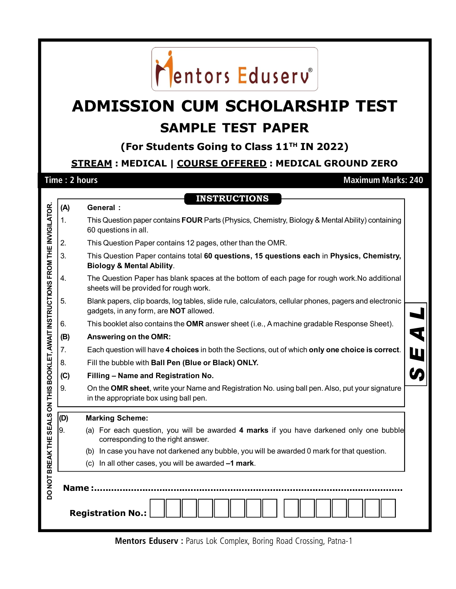

# **ADMISSION CUM SCHOLARSHIP TEST SAMPLE TEST PAPER**

**(For Students Going to Class 11TH IN 2022)**

## **STREAM : MEDICAL | COURSE OFFERED : MEDICAL GROUND ZERO**

 $\vec{\mu}$   $(\vec{A})$  **General**:

**Time : 2 hours Maximum Marks: 240**

|                                                                | (A)           | <b>General:</b>                                                                                                                                  |                      |  |  |  |  |
|----------------------------------------------------------------|---------------|--------------------------------------------------------------------------------------------------------------------------------------------------|----------------------|--|--|--|--|
|                                                                | 1.            | This Question paper contains FOUR Parts (Physics, Chemistry, Biology & Mental Ability) containing<br>60 questions in all.                        |                      |  |  |  |  |
|                                                                | 2.            | This Question Paper contains 12 pages, other than the OMR.                                                                                       |                      |  |  |  |  |
|                                                                | 3.            | This Question Paper contains total 60 questions, 15 questions each in Physics, Chemistry,<br><b>Biology &amp; Mental Ability.</b>                |                      |  |  |  |  |
|                                                                | 4.            | The Question Paper has blank spaces at the bottom of each page for rough work. No additional<br>sheets will be provided for rough work.          |                      |  |  |  |  |
|                                                                | 5.            | Blank papers, clip boards, log tables, slide rule, calculators, cellular phones, pagers and electronic<br>gadgets, in any form, are NOT allowed. |                      |  |  |  |  |
|                                                                | 6.            | This booklet also contains the OMR answer sheet (i.e., A machine gradable Response Sheet).                                                       |                      |  |  |  |  |
|                                                                | (B)           | Answering on the OMR:                                                                                                                            | $\blacktriangleleft$ |  |  |  |  |
|                                                                | 7.            | Each question will have 4 choices in both the Sections, out of which only one choice is correct.<br>W                                            |                      |  |  |  |  |
|                                                                | 8.            | Fill the bubble with Ball Pen (Blue or Black) ONLY.                                                                                              |                      |  |  |  |  |
|                                                                | (C)           | Filling - Name and Registration No.                                                                                                              |                      |  |  |  |  |
| SEALS ON THIS BOOKLET, AWAIT INSTRUCTIONS FROM THE INVIGILATOR | 9.            | On the OMR sheet, write your Name and Registration No. using ball pen. Also, put your signature<br>in the appropriate box using ball pen.        |                      |  |  |  |  |
|                                                                | (D)           | <b>Marking Scheme:</b>                                                                                                                           |                      |  |  |  |  |
|                                                                | 9.            | (a) For each question, you will be awarded 4 marks if you have darkened only one bubble<br>corresponding to the right answer.                    |                      |  |  |  |  |
|                                                                |               | (b) In case you have not darkened any bubble, you will be awarded 0 mark for that question.                                                      |                      |  |  |  |  |
|                                                                |               | (c) In all other cases, you will be awarded -1 mark.                                                                                             |                      |  |  |  |  |
| DO NOT BREAK THE                                               | <b>Name:.</b> | <b>Registration No.:</b>                                                                                                                         |                      |  |  |  |  |

**Mentors Eduserv : Parus Lok Complex, Boring Road Crossing, Patna-1**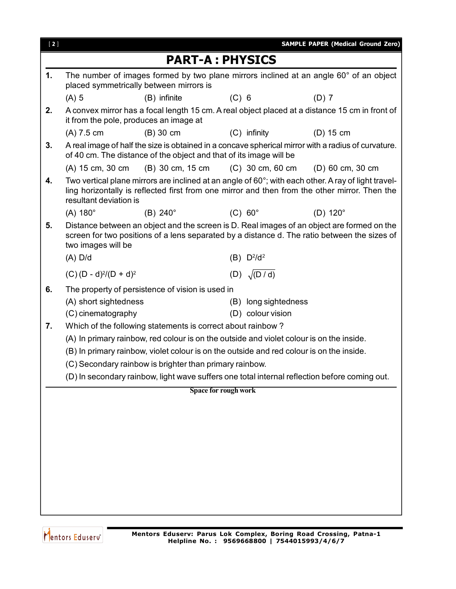| $[2]$ |                                             |                                                                                          |                      |                                           | <b>SAMPLE PAPER (Medical Ground Zero)</b>                                                                                                                                                            |
|-------|---------------------------------------------|------------------------------------------------------------------------------------------|----------------------|-------------------------------------------|------------------------------------------------------------------------------------------------------------------------------------------------------------------------------------------------------|
|       |                                             | <b>PART-A: PHYSICS</b>                                                                   |                      |                                           |                                                                                                                                                                                                      |
| 1.    |                                             | placed symmetrically between mirrors is                                                  |                      |                                           | The number of images formed by two plane mirrors inclined at an angle 60° of an object                                                                                                               |
|       | $(A)$ 5                                     | (B) infinite                                                                             | $(C)$ 6              |                                           | $(D)$ 7                                                                                                                                                                                              |
| 2.    |                                             | it from the pole, produces an image at                                                   |                      |                                           | A convex mirror has a focal length 15 cm. A real object placed at a distance 15 cm in front of                                                                                                       |
|       | $(A)$ 7.5 cm                                | $(B)$ 30 cm                                                                              |                      | $(C)$ infinity                            | $(D)$ 15 cm                                                                                                                                                                                          |
| 3.    |                                             | of 40 cm. The distance of the object and that of its image will be                       |                      |                                           | A real image of half the size is obtained in a concave spherical mirror with a radius of curvature.                                                                                                  |
|       | (A) 15 cm, 30 cm                            | (B) 30 cm, 15 cm                                                                         |                      | (C) 30 cm, 60 cm                          | (D) 60 cm, 30 cm                                                                                                                                                                                     |
| 4.    | resultant deviation is                      |                                                                                          |                      |                                           | Two vertical plane mirrors are inclined at an angle of 60°; with each other. A ray of light travel-<br>ling horizontally is reflected first from one mirror and then from the other mirror. Then the |
|       | $(A) 180^\circ$                             | $(B)$ 240 $^{\circ}$                                                                     | $(C) 60^\circ$       |                                           | $(D)$ 120 $^{\circ}$                                                                                                                                                                                 |
| 5.    | two images will be                          |                                                                                          |                      |                                           | Distance between an object and the screen is D. Real images of an object are formed on the<br>screen for two positions of a lens separated by a distance d. The ratio between the sizes of           |
|       | $(A)$ D/d                                   |                                                                                          |                      | (B) D <sup>2</sup> /d <sup>2</sup>        |                                                                                                                                                                                                      |
|       | $(C)(D - d)^2/(D + d)^2$                    |                                                                                          |                      | (D) $\sqrt{(D/d)}$                        |                                                                                                                                                                                                      |
| 6.    | (A) short sightedness<br>(C) cinematography | The property of persistence of vision is used in                                         |                      | (B) long sightedness<br>(D) colour vision |                                                                                                                                                                                                      |
| 7.    |                                             | Which of the following statements is correct about rainbow?                              |                      |                                           |                                                                                                                                                                                                      |
|       |                                             | (A) In primary rainbow, red colour is on the outside and violet colour is on the inside. |                      |                                           |                                                                                                                                                                                                      |
|       |                                             | (B) In primary rainbow, violet colour is on the outside and red colour is on the inside. |                      |                                           |                                                                                                                                                                                                      |
|       |                                             | (C) Secondary rainbow is brighter than primary rainbow.                                  |                      |                                           |                                                                                                                                                                                                      |
|       |                                             |                                                                                          |                      |                                           | (D) In secondary rainbow, light wave suffers one total internal reflection before coming out.                                                                                                        |
|       |                                             |                                                                                          | Space for rough work |                                           |                                                                                                                                                                                                      |
|       |                                             |                                                                                          |                      |                                           |                                                                                                                                                                                                      |
|       |                                             |                                                                                          |                      |                                           |                                                                                                                                                                                                      |
|       |                                             |                                                                                          |                      |                                           |                                                                                                                                                                                                      |
|       |                                             |                                                                                          |                      |                                           |                                                                                                                                                                                                      |
|       |                                             |                                                                                          |                      |                                           |                                                                                                                                                                                                      |
|       |                                             |                                                                                          |                      |                                           |                                                                                                                                                                                                      |
|       |                                             |                                                                                          |                      |                                           |                                                                                                                                                                                                      |
|       |                                             |                                                                                          |                      |                                           |                                                                                                                                                                                                      |
|       |                                             |                                                                                          |                      |                                           |                                                                                                                                                                                                      |

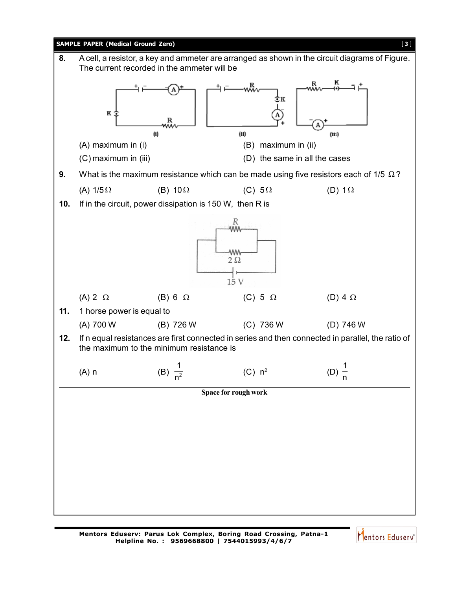

Mentors Eduserv<sup>®</sup>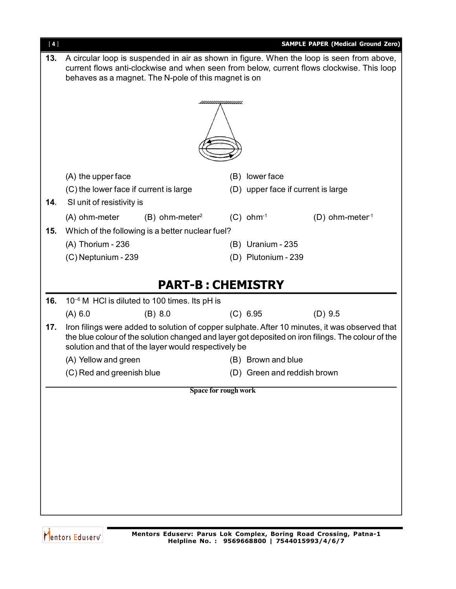| $[4]$ |                                                                                           |                                                           |                             |                         | <b>SAMPLE PAPER (Medical Ground Zero)</b>                                                          |
|-------|-------------------------------------------------------------------------------------------|-----------------------------------------------------------|-----------------------------|-------------------------|----------------------------------------------------------------------------------------------------|
| 13.   |                                                                                           |                                                           |                             |                         | A circular loop is suspended in air as shown in figure. When the loop is seen from above,          |
|       | current flows anti-clockwise and when seen from below, current flows clockwise. This loop |                                                           |                             |                         |                                                                                                    |
|       | behaves as a magnet. The N-pole of this magnet is on                                      |                                                           |                             |                         |                                                                                                    |
|       |                                                                                           |                                                           |                             |                         |                                                                                                    |
|       |                                                                                           |                                                           | <u>шишишинин</u>            |                         |                                                                                                    |
|       |                                                                                           |                                                           |                             |                         |                                                                                                    |
|       |                                                                                           |                                                           |                             |                         |                                                                                                    |
|       |                                                                                           |                                                           |                             |                         |                                                                                                    |
|       |                                                                                           |                                                           |                             |                         |                                                                                                    |
|       | (A) the upper face                                                                        |                                                           |                             | (B) lower face          |                                                                                                    |
|       | (C) the lower face if current is large                                                    |                                                           |                             |                         | (D) upper face if current is large                                                                 |
| 14.   | SI unit of resistivity is                                                                 |                                                           |                             |                         |                                                                                                    |
|       | (A) ohm-meter                                                                             | $(B)$ ohm-meter <sup>2</sup>                              |                             | $(C)$ ohm <sup>-1</sup> | $(D)$ ohm-meter <sup>1</sup>                                                                       |
| 15.   |                                                                                           | Which of the following is a better nuclear fuel?          |                             |                         |                                                                                                    |
|       | (A) Thorium - 236                                                                         |                                                           |                             | (B) Uranium - 235       |                                                                                                    |
|       | (C) Neptunium - 239                                                                       |                                                           |                             | (D) Plutonium - 239     |                                                                                                    |
|       |                                                                                           |                                                           |                             |                         |                                                                                                    |
|       |                                                                                           | <b>PART-B: CHEMISTRY</b>                                  |                             |                         |                                                                                                    |
| 16.   |                                                                                           | 10 <sup>-6</sup> M HCl is diluted to 100 times. Its pH is |                             |                         |                                                                                                    |
|       | (A) 6.0                                                                                   | (B) 8.0                                                   |                             | (C) 6.95                | $(D)$ 9.5                                                                                          |
| 17.   |                                                                                           |                                                           |                             |                         | Iron filings were added to solution of copper sulphate. After 10 minutes, it was observed that     |
|       |                                                                                           |                                                           |                             |                         | the blue colour of the solution changed and layer got deposited on iron filings. The colour of the |
|       |                                                                                           | solution and that of the layer would respectively be      |                             |                         |                                                                                                    |
|       | (A) Yellow and green                                                                      |                                                           |                             | (B) Brown and blue      |                                                                                                    |
|       | (C) Red and greenish blue                                                                 |                                                           |                             |                         | (D) Green and reddish brown                                                                        |
|       |                                                                                           |                                                           | <b>Space for rough work</b> |                         |                                                                                                    |
|       |                                                                                           |                                                           |                             |                         |                                                                                                    |
|       |                                                                                           |                                                           |                             |                         |                                                                                                    |
|       |                                                                                           |                                                           |                             |                         |                                                                                                    |
|       |                                                                                           |                                                           |                             |                         |                                                                                                    |
|       |                                                                                           |                                                           |                             |                         |                                                                                                    |
|       |                                                                                           |                                                           |                             |                         |                                                                                                    |
|       |                                                                                           |                                                           |                             |                         |                                                                                                    |
|       |                                                                                           |                                                           |                             |                         |                                                                                                    |
|       |                                                                                           |                                                           |                             |                         |                                                                                                    |
|       |                                                                                           |                                                           |                             |                         |                                                                                                    |

Mentors Eduserv<sup>®</sup>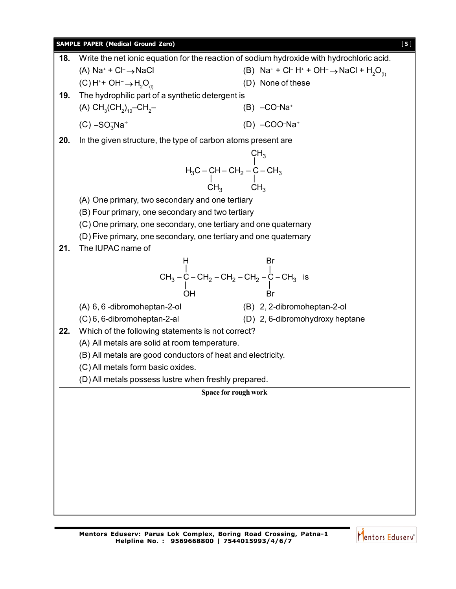### **SAMPLE PAPER (Medical Ground Zero)** [5]

| 18. | Write the net ionic equation for the reaction of sodium hydroxide with hydrochloric acid.                                                                                                                    |                                                                                                                             |  |  |  |
|-----|--------------------------------------------------------------------------------------------------------------------------------------------------------------------------------------------------------------|-----------------------------------------------------------------------------------------------------------------------------|--|--|--|
|     | (A) $Na^+ + Cl^- \rightarrow NaCl$                                                                                                                                                                           | (B) Na <sup>+</sup> + Cl <sup>-</sup> H <sup>+</sup> + OH <sup>-</sup> $\rightarrow$ NaCl + H <sub>2</sub> O <sub>(l)</sub> |  |  |  |
|     | $(C)$ H <sup>+</sup> + OH <sup>-</sup> $\rightarrow$ H <sub>2</sub> O <sub>(l)</sub>                                                                                                                         | (D) None of these                                                                                                           |  |  |  |
| 19. | The hydrophilic part of a synthetic detergent is                                                                                                                                                             |                                                                                                                             |  |  |  |
|     | (A) $CH_3(CH_2)_{10}$ -CH <sub>2</sub> -                                                                                                                                                                     | $(B) - CO-Na+$                                                                                                              |  |  |  |
|     | $(C) - SO3Na+$                                                                                                                                                                                               | $(D) - COO-Na+$                                                                                                             |  |  |  |
| 20. | In the given structure, the type of carbon atoms present are                                                                                                                                                 |                                                                                                                             |  |  |  |
|     |                                                                                                                                                                                                              |                                                                                                                             |  |  |  |
|     | CH <sub>3</sub><br>H <sub>3</sub> C – CH – CH <sub>2</sub> – C – CH <sub>3</sub><br>$\begin{array}{c}\n\downarrow\text{CH}_3 \\ \downarrow\text{CH}_3 \\ \downarrow\text{CH}_3\n\end{array}$<br>ry and one ' |                                                                                                                             |  |  |  |
|     |                                                                                                                                                                                                              |                                                                                                                             |  |  |  |
|     | (A) One primary, two secondary and one tertiary                                                                                                                                                              |                                                                                                                             |  |  |  |
|     | (B) Four primary, one secondary and two tertiary                                                                                                                                                             |                                                                                                                             |  |  |  |
|     | (C) One primary, one secondary, one tertiary and one quaternary                                                                                                                                              |                                                                                                                             |  |  |  |
|     | (D) Five primary, one secondary, one tertiary and one quaternary                                                                                                                                             |                                                                                                                             |  |  |  |
| 21. | The IUPAC name of                                                                                                                                                                                            |                                                                                                                             |  |  |  |
|     | CH <sub>3</sub> - C - CH <sub>2</sub> - CH <sub>2</sub> - CH <sub>2</sub> - CH <sub>2</sub> - C - CH <sub>3</sub> is<br>OH Br                                                                                |                                                                                                                             |  |  |  |
|     |                                                                                                                                                                                                              |                                                                                                                             |  |  |  |
|     |                                                                                                                                                                                                              |                                                                                                                             |  |  |  |
|     |                                                                                                                                                                                                              | (B) 2, 2-dibromoheptan-2-ol                                                                                                 |  |  |  |
|     | (A) 6, 6 -dibromoheptan-2-ol<br>(C) 6, 6-dibromoheptan-2-al                                                                                                                                                  | (D) 2, 6-dibromohydroxy heptane                                                                                             |  |  |  |
| 22. | Which of the following statements is not correct?                                                                                                                                                            |                                                                                                                             |  |  |  |
|     | (A) All metals are solid at room temperature.                                                                                                                                                                |                                                                                                                             |  |  |  |
|     | (B) All metals are good conductors of heat and electricity.                                                                                                                                                  |                                                                                                                             |  |  |  |
|     | (C) All metals form basic oxides.                                                                                                                                                                            |                                                                                                                             |  |  |  |
|     | (D) All metals possess lustre when freshly prepared.                                                                                                                                                         |                                                                                                                             |  |  |  |
|     | Space for rough work                                                                                                                                                                                         |                                                                                                                             |  |  |  |
|     |                                                                                                                                                                                                              |                                                                                                                             |  |  |  |
|     |                                                                                                                                                                                                              |                                                                                                                             |  |  |  |
|     |                                                                                                                                                                                                              |                                                                                                                             |  |  |  |
|     |                                                                                                                                                                                                              |                                                                                                                             |  |  |  |
|     |                                                                                                                                                                                                              |                                                                                                                             |  |  |  |
|     |                                                                                                                                                                                                              |                                                                                                                             |  |  |  |
|     |                                                                                                                                                                                                              |                                                                                                                             |  |  |  |
|     |                                                                                                                                                                                                              |                                                                                                                             |  |  |  |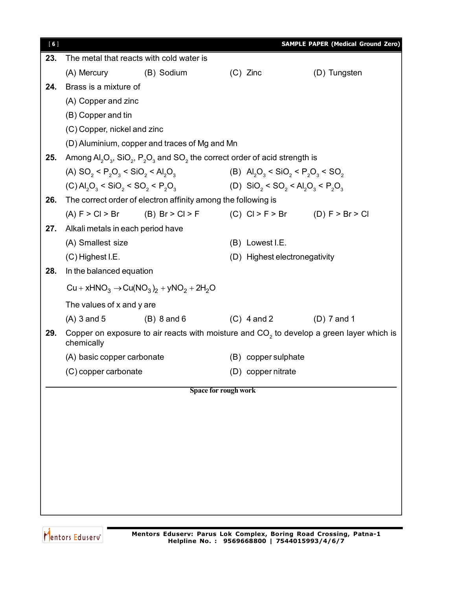| [6] |                                   |                                                                                                                                                                                                                 |                      | <b>SAMPLE PAPER (Medical Ground Zero)</b>                                                  |  |
|-----|-----------------------------------|-----------------------------------------------------------------------------------------------------------------------------------------------------------------------------------------------------------------|----------------------|--------------------------------------------------------------------------------------------|--|
| 23. |                                   | The metal that reacts with cold water is                                                                                                                                                                        |                      |                                                                                            |  |
|     | (A) Mercury                       | (B) Sodium                                                                                                                                                                                                      | $(C)$ Zinc           | (D) Tungsten                                                                               |  |
| 24. | Brass is a mixture of             |                                                                                                                                                                                                                 |                      |                                                                                            |  |
|     | (A) Copper and zinc               |                                                                                                                                                                                                                 |                      |                                                                                            |  |
|     | (B) Copper and tin                |                                                                                                                                                                                                                 |                      |                                                                                            |  |
|     | (C) Copper, nickel and zinc       |                                                                                                                                                                                                                 |                      |                                                                                            |  |
|     |                                   | (D) Aluminium, copper and traces of Mg and Mn                                                                                                                                                                   |                      |                                                                                            |  |
| 25. |                                   | Among $\text{Al}_2\text{O}_3$ , SiO <sub>2</sub> , P <sub>2</sub> O <sub>3</sub> and SO <sub>2</sub> the correct order of acid strength is                                                                      |                      |                                                                                            |  |
|     |                                   | (A) SO <sub>2</sub> < P <sub>2</sub> O <sub>3</sub> < SiO <sub>2</sub> < Al <sub>2</sub> O <sub>3</sub> (B) Al <sub>2</sub> O <sub>3</sub> < SiO <sub>2</sub> < P <sub>2</sub> O <sub>3</sub> < SO <sub>2</sub> |                      |                                                                                            |  |
|     |                                   | (C) $AI_2O_3 < SiO_2 < SO_2 < P_2O_3$ (D) $SiO_2 < SO_2 < Al_2O_3 < P_2O_3$                                                                                                                                     |                      |                                                                                            |  |
| 26. |                                   | The correct order of electron affinity among the following is                                                                                                                                                   |                      |                                                                                            |  |
|     |                                   |                                                                                                                                                                                                                 |                      | (A) $F > C I > Br$ (B) $Br > C I > F$ (C) $C I > F > Br$ (D) $F > Br > Cl$                 |  |
| 27. | Alkali metals in each period have |                                                                                                                                                                                                                 |                      |                                                                                            |  |
|     | (A) Smallest size                 |                                                                                                                                                                                                                 | (B) Lowest I.E.      |                                                                                            |  |
|     | $(C)$ Highest I.E.                |                                                                                                                                                                                                                 |                      | (D) Highest electronegativity                                                              |  |
| 28. | In the balanced equation          |                                                                                                                                                                                                                 |                      |                                                                                            |  |
|     |                                   | $Cu + xHNO3 \rightarrow Cu(NO3)2 + yNO2 + 2H2O$                                                                                                                                                                 |                      |                                                                                            |  |
|     | The values of x and y are         |                                                                                                                                                                                                                 |                      |                                                                                            |  |
|     | $(A)$ 3 and 5                     | $(B) 8$ and 6 $(C) 4$ and 2                                                                                                                                                                                     |                      | $(D)$ 7 and 1                                                                              |  |
| 29. | chemically                        |                                                                                                                                                                                                                 |                      | Copper on exposure to air reacts with moisture and $CO2$ to develop a green layer which is |  |
|     | (A) basic copper carbonate        |                                                                                                                                                                                                                 | (B) copper sulphate  |                                                                                            |  |
|     | (C) copper carbonate              |                                                                                                                                                                                                                 | (D) copper nitrate   |                                                                                            |  |
|     |                                   |                                                                                                                                                                                                                 | Space for rough work |                                                                                            |  |
|     |                                   |                                                                                                                                                                                                                 |                      |                                                                                            |  |
|     |                                   |                                                                                                                                                                                                                 |                      |                                                                                            |  |
|     |                                   |                                                                                                                                                                                                                 |                      |                                                                                            |  |
|     |                                   |                                                                                                                                                                                                                 |                      |                                                                                            |  |
|     |                                   |                                                                                                                                                                                                                 |                      |                                                                                            |  |
|     |                                   |                                                                                                                                                                                                                 |                      |                                                                                            |  |
|     |                                   |                                                                                                                                                                                                                 |                      |                                                                                            |  |
|     |                                   |                                                                                                                                                                                                                 |                      |                                                                                            |  |
|     |                                   |                                                                                                                                                                                                                 |                      |                                                                                            |  |

Mentors Eduserv<sup>®</sup>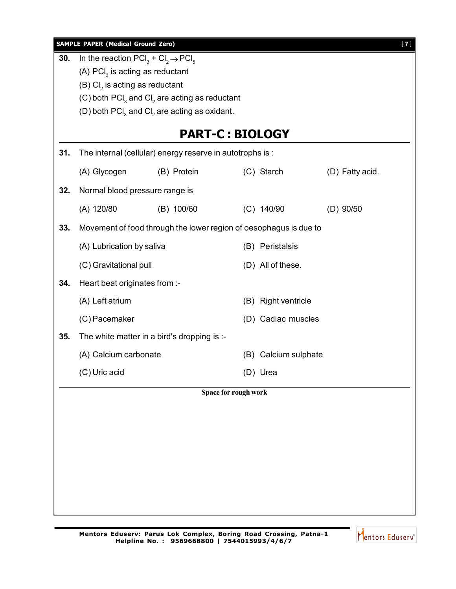|     | <b>SAMPLE PAPER (Medical Ground Zero)</b>                                                                          |                                                                   |                        |                      |                 | $[7]$ |
|-----|--------------------------------------------------------------------------------------------------------------------|-------------------------------------------------------------------|------------------------|----------------------|-----------------|-------|
| 30. | In the reaction $\text{PCI}_3 + \text{Cl}_2 \rightarrow \text{PCI}_5$<br>(A) $\text{PCI}_3$ is acting as reductant |                                                                   |                        |                      |                 |       |
|     | $(B)$ Cl <sub>2</sub> is acting as reductant                                                                       |                                                                   |                        |                      |                 |       |
|     |                                                                                                                    | (C) both $\text{PCI}_3$ and $\text{Cl}_2$ are acting as reductant |                        |                      |                 |       |
|     |                                                                                                                    | (D) both $\text{PCI}_3$ and $\text{Cl}_2$ are acting as oxidant.  |                        |                      |                 |       |
|     |                                                                                                                    |                                                                   | <b>PART-C: BIOLOGY</b> |                      |                 |       |
| 31. |                                                                                                                    | The internal (cellular) energy reserve in autotrophs is :         |                        |                      |                 |       |
|     | (A) Glycogen                                                                                                       | (B) Protein                                                       |                        | (C) Starch           | (D) Fatty acid. |       |
| 32. |                                                                                                                    | Normal blood pressure range is                                    |                        |                      |                 |       |
|     | (A) 120/80                                                                                                         | (B) 100/60                                                        |                        | $(C)$ 140/90         | $(D)$ 90/50     |       |
| 33. | Movement of food through the lower region of oesophagus is due to                                                  |                                                                   |                        |                      |                 |       |
|     | (A) Lubrication by saliva                                                                                          |                                                                   |                        | (B) Peristalsis      |                 |       |
|     | (C) Gravitational pull                                                                                             |                                                                   |                        | (D) All of these.    |                 |       |
| 34. | Heart beat originates from :-                                                                                      |                                                                   |                        |                      |                 |       |
|     | (A) Left atrium                                                                                                    |                                                                   |                        | (B) Right ventricle  |                 |       |
|     | (C) Pacemaker                                                                                                      |                                                                   |                        | (D) Cadiac muscles   |                 |       |
| 35. |                                                                                                                    | The white matter in a bird's dropping is :-                       |                        |                      |                 |       |
|     | (A) Calcium carbonate                                                                                              |                                                                   |                        | (B) Calcium sulphate |                 |       |
|     | (C) Uric acid                                                                                                      |                                                                   |                        | (D) Urea             |                 |       |
|     |                                                                                                                    |                                                                   | Space for rough work   |                      |                 |       |
|     |                                                                                                                    |                                                                   |                        |                      |                 |       |
|     |                                                                                                                    |                                                                   |                        |                      |                 |       |
|     |                                                                                                                    |                                                                   |                        |                      |                 |       |
|     |                                                                                                                    |                                                                   |                        |                      |                 |       |
|     |                                                                                                                    |                                                                   |                        |                      |                 |       |
|     |                                                                                                                    |                                                                   |                        |                      |                 |       |
|     |                                                                                                                    |                                                                   |                        |                      |                 |       |

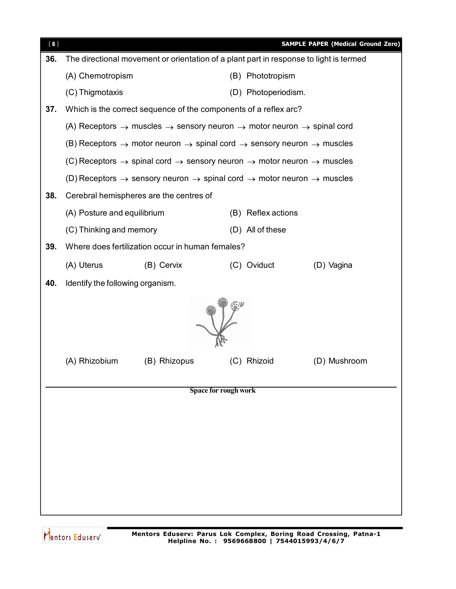| [8] |                                                                  |                                                                                                                       |                      | <b>SAMPLE PAPER (Medical Ground Zero)</b> |  |  |
|-----|------------------------------------------------------------------|-----------------------------------------------------------------------------------------------------------------------|----------------------|-------------------------------------------|--|--|
| 36. |                                                                  | The directional movement or orientation of a plant part in response to light is termed                                |                      |                                           |  |  |
|     | (A) Chemotropism                                                 |                                                                                                                       | (B) Phototropism     |                                           |  |  |
|     | (C) Thigmotaxis                                                  |                                                                                                                       | (D) Photoperiodism.  |                                           |  |  |
| 37. | Which is the correct sequence of the components of a reflex arc? |                                                                                                                       |                      |                                           |  |  |
|     |                                                                  | (A) Receptors $\rightarrow$ muscles $\rightarrow$ sensory neuron $\rightarrow$ motor neuron $\rightarrow$ spinal cord |                      |                                           |  |  |
|     |                                                                  | (B) Receptors $\rightarrow$ motor neuron $\rightarrow$ spinal cord $\rightarrow$ sensory neuron $\rightarrow$ muscles |                      |                                           |  |  |
|     |                                                                  | (C) Receptors $\rightarrow$ spinal cord $\rightarrow$ sensory neuron $\rightarrow$ motor neuron $\rightarrow$ muscles |                      |                                           |  |  |
|     |                                                                  | (D) Receptors $\rightarrow$ sensory neuron $\rightarrow$ spinal cord $\rightarrow$ motor neuron $\rightarrow$ muscles |                      |                                           |  |  |
| 38. |                                                                  | Cerebral hemispheres are the centres of                                                                               |                      |                                           |  |  |
|     | (A) Posture and equilibrium                                      |                                                                                                                       | (B) Reflex actions   |                                           |  |  |
|     | (C) Thinking and memory                                          |                                                                                                                       | (D) All of these     |                                           |  |  |
| 39. | Where does fertilization occur in human females?                 |                                                                                                                       |                      |                                           |  |  |
|     | (A) Uterus                                                       | (B) Cervix                                                                                                            | (C) Oviduct          | (D) Vagina                                |  |  |
| 40. | Identify the following organism.                                 |                                                                                                                       |                      |                                           |  |  |
|     |                                                                  |                                                                                                                       |                      |                                           |  |  |
|     | (A) Rhizobium                                                    | (B) Rhizopus                                                                                                          | (C) Rhizoid          | (D) Mushroom                              |  |  |
|     |                                                                  |                                                                                                                       | Space for rough work |                                           |  |  |
|     |                                                                  |                                                                                                                       |                      |                                           |  |  |
|     |                                                                  |                                                                                                                       |                      |                                           |  |  |
|     |                                                                  |                                                                                                                       |                      |                                           |  |  |
|     |                                                                  |                                                                                                                       |                      |                                           |  |  |
|     |                                                                  |                                                                                                                       |                      |                                           |  |  |
|     |                                                                  |                                                                                                                       |                      |                                           |  |  |
|     |                                                                  |                                                                                                                       |                      |                                           |  |  |
|     |                                                                  |                                                                                                                       |                      |                                           |  |  |

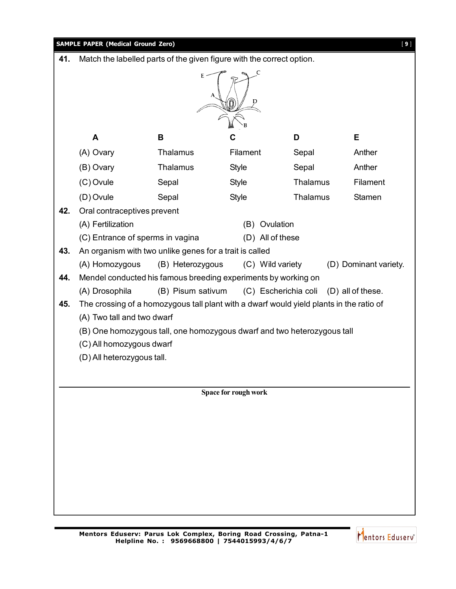

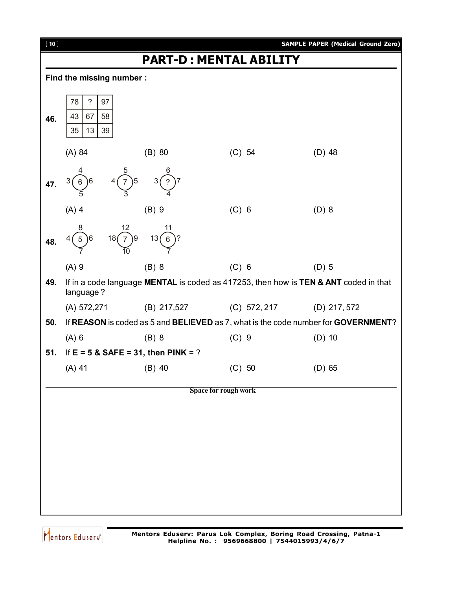

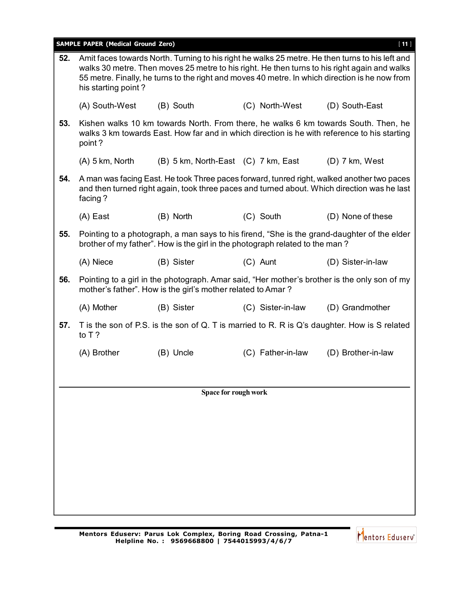|     | <b>SAMPLE PAPER (Medical Ground Zero)</b> |                                                                              |                   | $[11]$                                                                                                                                                                                                                                                                                            |
|-----|-------------------------------------------|------------------------------------------------------------------------------|-------------------|---------------------------------------------------------------------------------------------------------------------------------------------------------------------------------------------------------------------------------------------------------------------------------------------------|
| 52. | his starting point?                       |                                                                              |                   | Amit faces towards North. Turning to his right he walks 25 metre. He then turns to his left and<br>walks 30 metre. Then moves 25 metre to his right. He then turns to his right again and walks<br>55 metre. Finally, he turns to the right and moves 40 metre. In which direction is he now from |
|     | (A) South-West                            | (B) South                                                                    | (C) North-West    | (D) South-East                                                                                                                                                                                                                                                                                    |
| 53. | point?                                    |                                                                              |                   | Kishen walks 10 km towards North. From there, he walks 6 km towards South. Then, he<br>walks 3 km towards East. How far and in which direction is he with reference to his starting                                                                                                               |
|     | $(A)$ 5 km, North                         | (B) 5 km, North-East (C) 7 km, East                                          |                   | $(D)$ 7 km, West                                                                                                                                                                                                                                                                                  |
| 54. | facing?                                   |                                                                              |                   | A man was facing East. He took Three paces forward, tunred right, walked another two paces<br>and then turned right again, took three paces and turned about. Which direction was he last                                                                                                         |
|     | (A) East                                  | (B) North                                                                    | (C) South         | (D) None of these                                                                                                                                                                                                                                                                                 |
| 55. |                                           | brother of my father". How is the girl in the photograph related to the man? |                   | Pointing to a photograph, a man says to his firend, "She is the grand-daughter of the elder                                                                                                                                                                                                       |
|     | (A) Niece                                 | (B) Sister                                                                   | $(C)$ Aunt        | (D) Sister-in-law                                                                                                                                                                                                                                                                                 |
| 56. |                                           | mother's father". How is the girl's mother related to Amar?                  |                   | Pointing to a girl in the photograph. Amar said, "Her mother's brother is the only son of my                                                                                                                                                                                                      |
|     | (A) Mother                                | (B) Sister                                                                   | (C) Sister-in-law | (D) Grandmother                                                                                                                                                                                                                                                                                   |
| 57. | to $T$ ?                                  |                                                                              |                   | T is the son of P.S. is the son of Q. T is married to R. R is Q's daughter. How is S related                                                                                                                                                                                                      |
|     | (A) Brother                               | (B) Uncle                                                                    | (C) Father-in-law | (D) Brother-in-law                                                                                                                                                                                                                                                                                |
|     |                                           |                                                                              |                   |                                                                                                                                                                                                                                                                                                   |
|     |                                           | Space for rough work                                                         |                   |                                                                                                                                                                                                                                                                                                   |
|     |                                           |                                                                              |                   |                                                                                                                                                                                                                                                                                                   |
|     |                                           |                                                                              |                   |                                                                                                                                                                                                                                                                                                   |
|     |                                           |                                                                              |                   |                                                                                                                                                                                                                                                                                                   |
|     |                                           |                                                                              |                   |                                                                                                                                                                                                                                                                                                   |
|     |                                           |                                                                              |                   |                                                                                                                                                                                                                                                                                                   |
|     |                                           |                                                                              |                   |                                                                                                                                                                                                                                                                                                   |

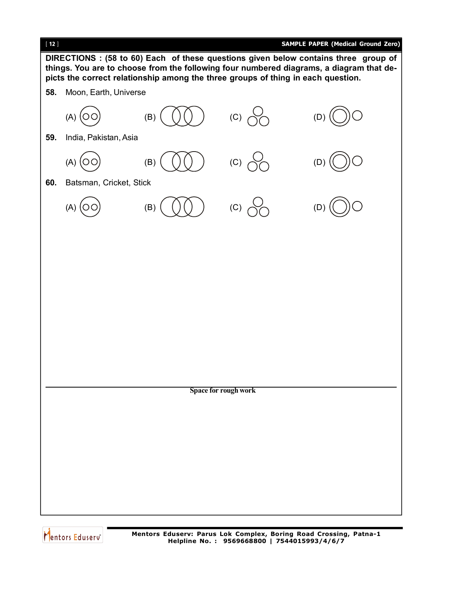